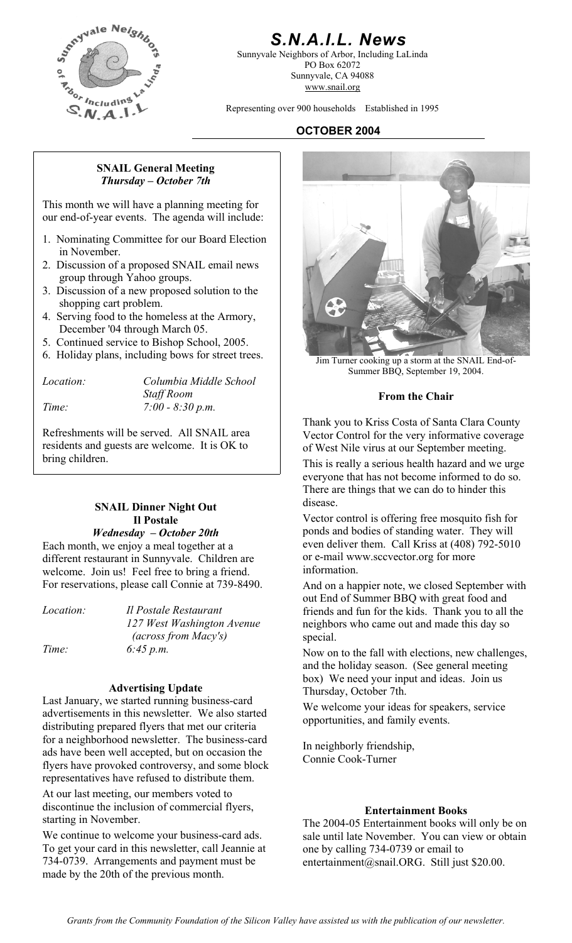

## *S.N.A.I.L. News*

Sunnyvale Neighbors of Arbor, Including LaLinda PO Box 62072 Sunnyvale, CA 94088 www.snail.org

Representing over 900 households Established in 1995

## **OCTOBER 2004**

#### **SNAIL General Meeting**  *Thursday – October 7th*

This month we will have a planning meeting for our end-of-year events. The agenda will include:

- 1. Nominating Committee for our Board Election in November.
- 2. Discussion of a proposed SNAIL email news group through Yahoo groups.
- 3. Discussion of a new proposed solution to the shopping cart problem.
- 4. Serving food to the homeless at the Armory, December '04 through March 05.
- 5. Continued service to Bishop School, 2005.
- 6. Holiday plans, including bows for street trees. Jim Turner cooking up a storm at the SNAIL End-of-

| <i>Location:</i> | Columbia Middle School |
|------------------|------------------------|
|                  | <b>Staff Room</b>      |
| Time:            | $7:00 - 8:30 p.m.$     |

Refreshments will be served. All SNAIL area residents and guests are welcome. It is OK to

## disease. **SNAIL Dinner Night Out Il Postale**

## *Wednesday – October 20th*

Each month, we enjoy a meal together at a different restaurant in Sunnyvale. Children are welcome. Join us! Feel free to bring a friend.

*Location: Il Postale Restaurant 127 West Washington Avenue (across from Macy's) Time:* 6:45 p.m. **6:45 p.m.** Now on to the fall with elections, new challenges,

advertisements in this newsletter. We also started distributing prepared flyers that met our criteria for a neighborhood newsletter. The business-card ads have been well accepted, but on occasion the flyers have provoked controversy, and some block representatives have refused to distribute them.

At our last meeting, our members voted to discontinue the inclusion of commercial flyers, starting in November.

We continue to welcome your business-card ads. To get your card in this newsletter, call Jeannie at 734-0739. Arrangements and payment must be made by the 20th of the previous month.



Summer BBQ, September 19, 2004.

### **From the Chair**

Thank you to Kriss Costa of Santa Clara County Vector Control for the very informative coverage of West Nile virus at our September meeting.

bring children.<br>This is really a serious health hazard and we urge everyone that has not become informed to do so. There are things that we can do to hinder this

> Vector control is offering free mosquito fish for ponds and bodies of standing water. They will even deliver them. Call Kriss at (408) 792-5010 or e-mail www.sccvector.org for more information.

For reservations, please call Connie at 739-8490. And on a happier note, we closed September with out End of Summer BBQ with great food and friends and fun for the kids. Thank you to all the neighbors who came out and made this day so special.

and the holiday season. (See general meeting **box)** We need your input and ideas. Join us<br>
Last January, we started running business-card<br>
Last January, we started running business-card<br>
We have the card

We welcome your ideas for speakers, service opportunities, and family events.

In neighborly friendship, Connie Cook-Turner

### **Entertainment Books**

The 2004-05 Entertainment books will only be on sale until late November. You can view or obtain one by calling 734-0739 or email to entertainment@snail.ORG. Still just \$20.00.